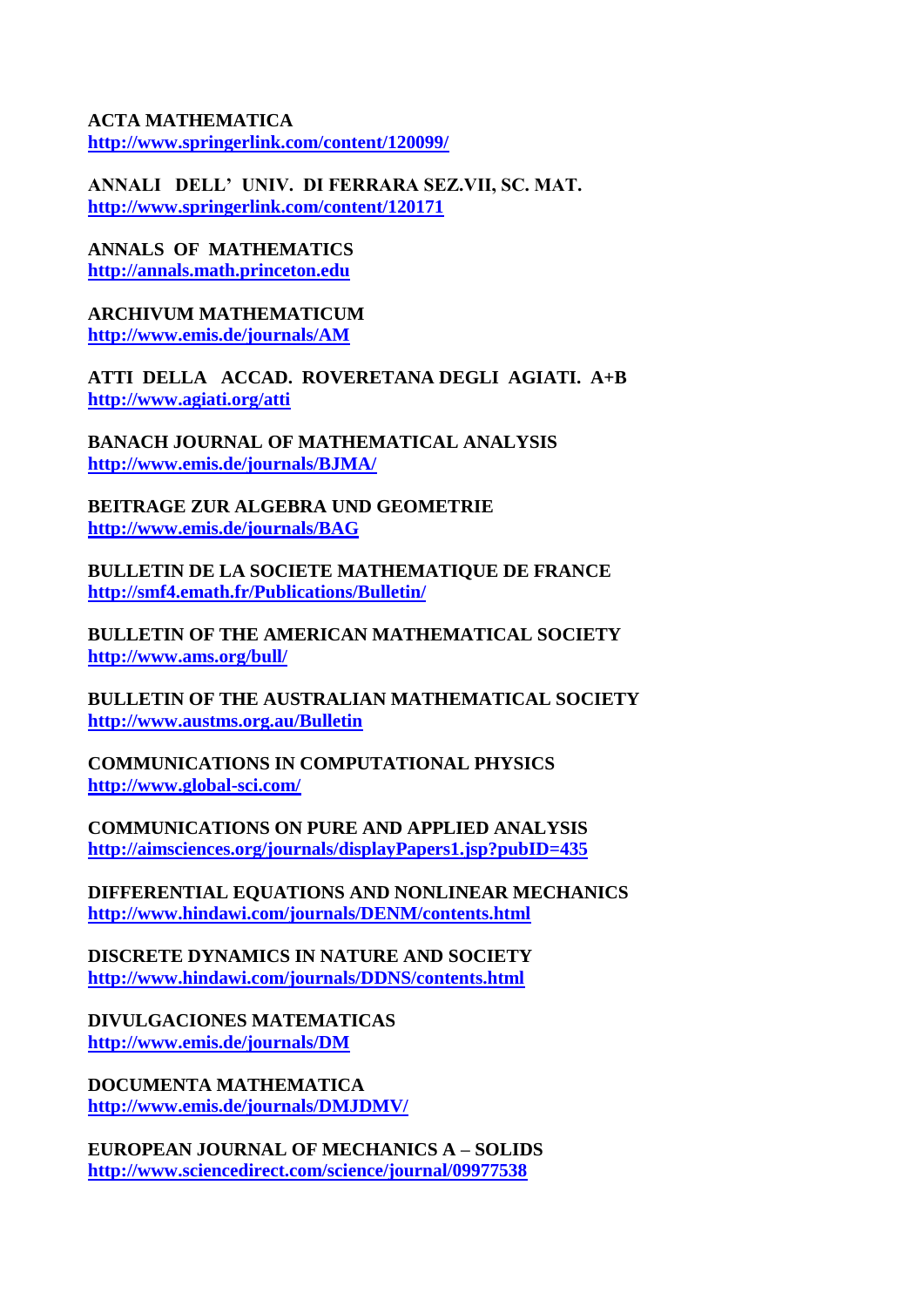**ACTA MATHEMATICA <http://www.springerlink.com/content/120099/>**

**ANNALI DELL' UNIV. DI FERRARA SEZ.VII, SC. MAT. <http://www.springerlink.com/content/120171>**

**ANNALS OF MATHEMATICS [http://annals.math.princeton.edu](http://annals.math.princeton.edu/)**

**ARCHIVUM MATHEMATICUM <http://www.emis.de/journals/AM>**

**ATTI DELLA ACCAD. ROVERETANA DEGLI AGIATI. A+B <http://www.agiati.org/atti>**

**BANACH JOURNAL OF MATHEMATICAL ANALYSIS <http://www.emis.de/journals/BJMA/>**

**BEITRAGE ZUR ALGEBRA UND GEOMETRIE <http://www.emis.de/journals/BAG>**

**BULLETIN DE LA SOCIETE MATHEMATIQUE DE FRANCE <http://smf4.emath.fr/Publications/Bulletin/>**

**BULLETIN OF THE AMERICAN MATHEMATICAL SOCIETY <http://www.ams.org/bull/>**

**BULLETIN OF THE AUSTRALIAN MATHEMATICAL SOCIETY <http://www.austms.org.au/Bulletin>**

**COMMUNICATIONS IN COMPUTATIONAL PHYSICS <http://www.global-sci.com/>**

**COMMUNICATIONS ON PURE AND APPLIED ANALYSIS <http://aimsciences.org/journals/displayPapers1.jsp?pubID=435>**

**DIFFERENTIAL EQUATIONS AND NONLINEAR MECHANICS <http://www.hindawi.com/journals/DENM/contents.html>**

**DISCRETE DYNAMICS IN NATURE AND SOCIETY <http://www.hindawi.com/journals/DDNS/contents.html>**

**DIVULGACIONES MATEMATICAS <http://www.emis.de/journals/DM>**

**DOCUMENTA MATHEMATICA <http://www.emis.de/journals/DMJDMV/>**

**EUROPEAN JOURNAL OF MECHANICS A – SOLIDS <http://www.sciencedirect.com/science/journal/09977538>**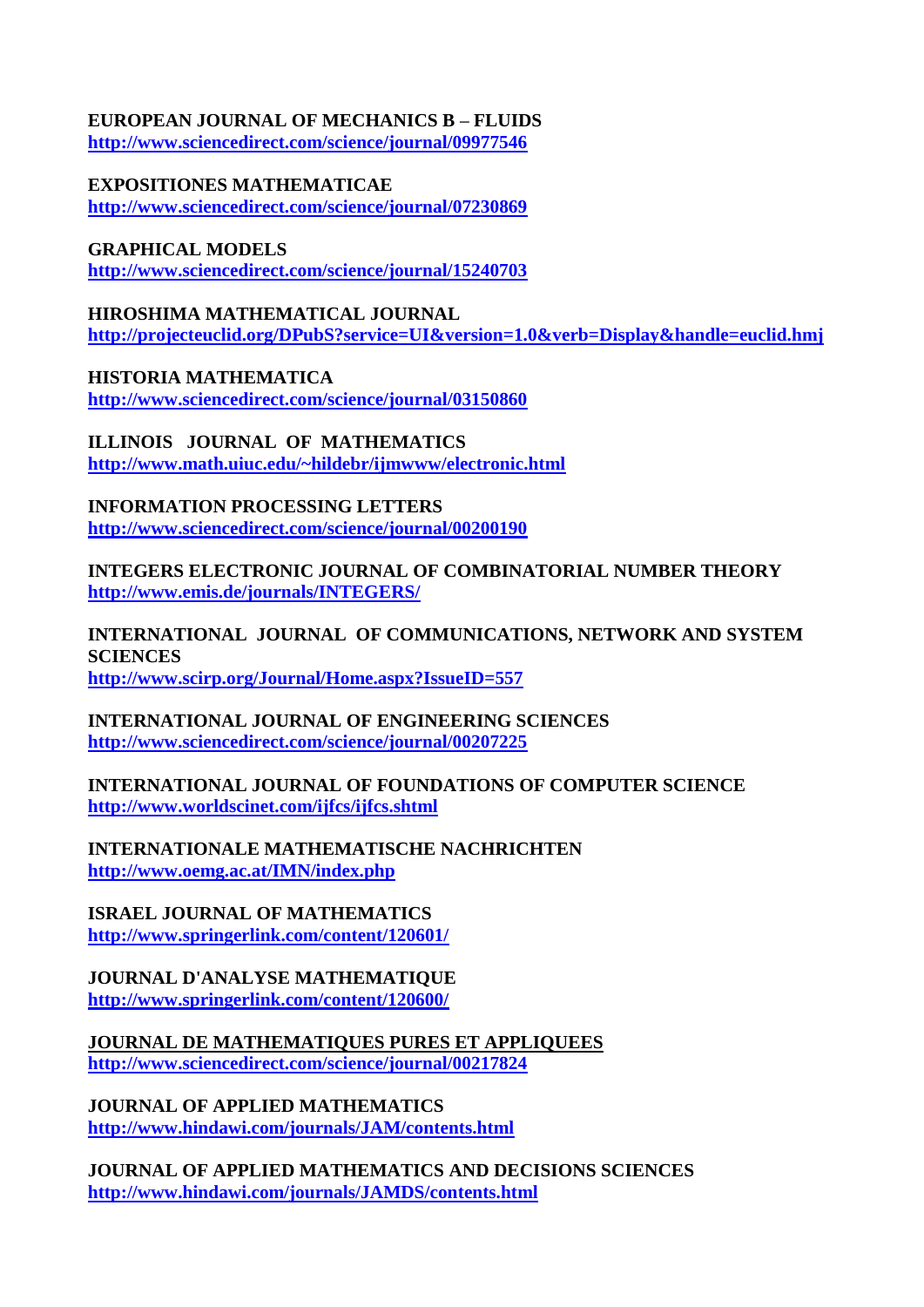#### **EUROPEAN JOURNAL OF MECHANICS B – FLUIDS <http://www.sciencedirect.com/science/journal/09977546>**

## **EXPOSITIONES MATHEMATICAE**

**<http://www.sciencedirect.com/science/journal/07230869>**

**GRAPHICAL MODELS**

**<http://www.sciencedirect.com/science/journal/15240703>**

# **HIROSHIMA MATHEMATICAL JOURNAL <http://projecteuclid.org/DPubS?service=UI&version=1.0&verb=Display&handle=euclid.hmj>**

**HISTORIA MATHEMATICA <http://www.sciencedirect.com/science/journal/03150860>**

**ILLINOIS JOURNAL OF MATHEMATICS <http://www.math.uiuc.edu/~hildebr/ijmwww/electronic.html>**

**INFORMATION PROCESSING LETTERS <http://www.sciencedirect.com/science/journal/00200190>**

**INTEGERS ELECTRONIC JOURNAL OF COMBINATORIAL NUMBER THEORY <http://www.emis.de/journals/INTEGERS/>**

**INTERNATIONAL JOURNAL OF COMMUNICATIONS, NETWORK AND SYSTEM SCIENCES <http://www.scirp.org/Journal/Home.aspx?IssueID=557>**

### **INTERNATIONAL JOURNAL OF ENGINEERING SCIENCES <http://www.sciencedirect.com/science/journal/00207225>**

**INTERNATIONAL JOURNAL OF FOUNDATIONS OF COMPUTER SCIENCE <http://www.worldscinet.com/ijfcs/ijfcs.shtml>**

**INTERNATIONALE MATHEMATISCHE NACHRICHTEN <http://www.oemg.ac.at/IMN/index.php>**

**ISRAEL JOURNAL OF MATHEMATICS <http://www.springerlink.com/content/120601/>**

### **JOURNAL D'ANALYSE MATHEMATIQUE <http://www.springerlink.com/content/120600/>**

**JOURNAL DE MATHEMATIQUES PURES ET APPLIQUEES <http://www.sciencedirect.com/science/journal/00217824>**

**JOURNAL OF APPLIED MATHEMATICS <http://www.hindawi.com/journals/JAM/contents.html>**

**JOURNAL OF APPLIED MATHEMATICS AND DECISIONS SCIENCES <http://www.hindawi.com/journals/JAMDS/contents.html>**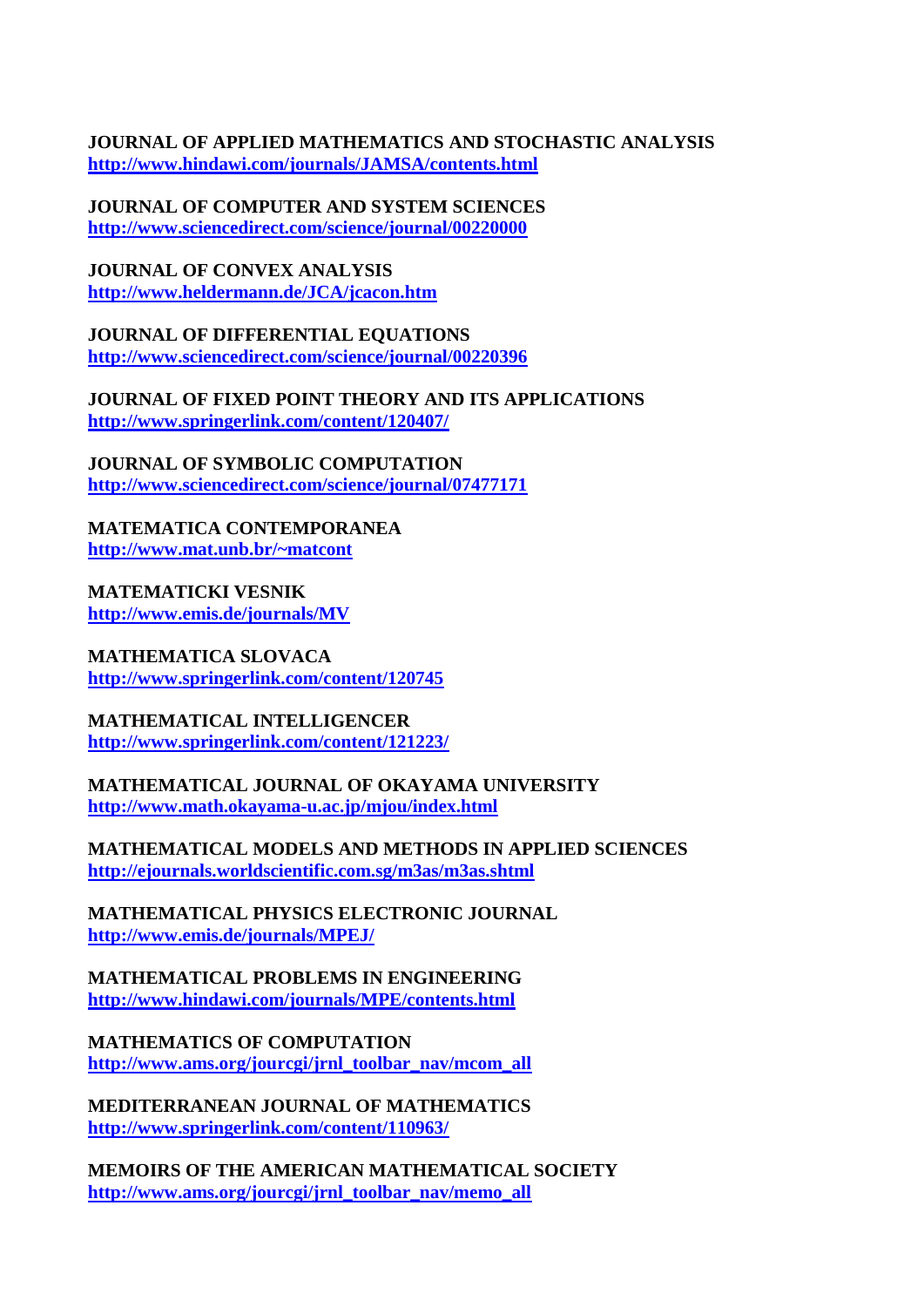**JOURNAL OF APPLIED MATHEMATICS AND STOCHASTIC ANALYSIS <http://www.hindawi.com/journals/JAMSA/contents.html>**

**JOURNAL OF COMPUTER AND SYSTEM SCIENCES <http://www.sciencedirect.com/science/journal/00220000>**

**JOURNAL OF CONVEX ANALYSIS <http://www.heldermann.de/JCA/jcacon.htm>**

**JOURNAL OF DIFFERENTIAL EQUATIONS <http://www.sciencedirect.com/science/journal/00220396>**

**JOURNAL OF FIXED POINT THEORY AND ITS APPLICATIONS <http://www.springerlink.com/content/120407/>**

**JOURNAL OF SYMBOLIC COMPUTATION <http://www.sciencedirect.com/science/journal/07477171>**

**MATEMATICA CONTEMPORANEA <http://www.mat.unb.br/~matcont>**

**MATEMATICKI VESNIK <http://www.emis.de/journals/MV>**

**MATHEMATICA SLOVACA <http://www.springerlink.com/content/120745>**

**MATHEMATICAL INTELLIGENCER <http://www.springerlink.com/content/121223/>**

**MATHEMATICAL JOURNAL OF OKAYAMA UNIVERSITY <http://www.math.okayama-u.ac.jp/mjou/index.html>**

**MATHEMATICAL MODELS AND METHODS IN APPLIED SCIENCES <http://ejournals.worldscientific.com.sg/m3as/m3as.shtml>**

**MATHEMATICAL PHYSICS ELECTRONIC JOURNAL <http://www.emis.de/journals/MPEJ/>**

**MATHEMATICAL PROBLEMS IN ENGINEERING <http://www.hindawi.com/journals/MPE/contents.html>**

**MATHEMATICS OF COMPUTATION [http://www.ams.org/jourcgi/jrnl\\_toolbar\\_nav/mcom\\_all](http://www.ams.org/jourcgi/jrnl_toolbar_nav/mcom_all)**

**MEDITERRANEAN JOURNAL OF MATHEMATICS <http://www.springerlink.com/content/110963/>**

**MEMOIRS OF THE AMERICAN MATHEMATICAL SOCIETY [http://www.ams.org/jourcgi/jrnl\\_toolbar\\_nav/memo\\_all](http://www.ams.org/jourcgi/jrnl_toolbar_nav/memo_all)**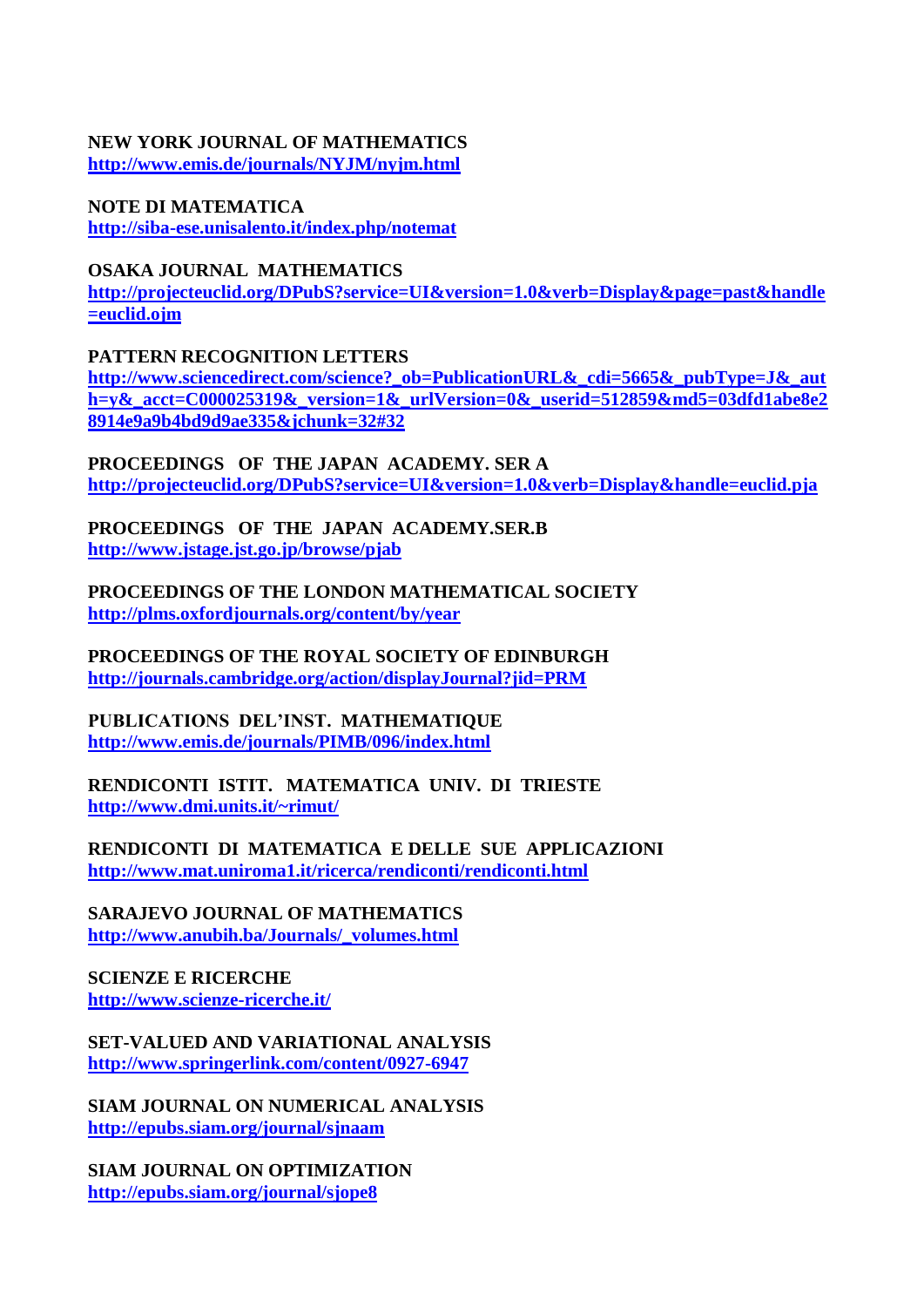#### **NEW YORK JOURNAL OF MATHEMATICS <http://www.emis.de/journals/NYJM/nyjm.html>**

**NOTE DI MATEMATICA <http://siba-ese.unisalento.it/index.php/notemat>**

# **OSAKA JOURNAL MATHEMATICS**

**[http://projecteuclid.org/DPubS?service=UI&version=1.0&verb=Display&page=past&handle](http://projecteuclid.org/DPubS?service=UI&version=1.0&verb=Display&page=past&handle=euclid.ojm) [=euclid.ojm](http://projecteuclid.org/DPubS?service=UI&version=1.0&verb=Display&page=past&handle=euclid.ojm)**

**PATTERN RECOGNITION LETTERS**

**[http://www.sciencedirect.com/science?\\_ob=PublicationURL&\\_cdi=5665&\\_pubType=J&\\_aut](http://www.sciencedirect.com/science?_ob=PublicationURL&_cdi=5665&_pubType=J&_auth=y&_acct=C000025319&_version=1&_urlVersion=0&_userid=512859&md5=03dfd1abe8e28914e9a9b4bd9d9ae335&jchunk=32#32) [h=y&\\_acct=C000025319&\\_version=1&\\_urlVersion=0&\\_userid=512859&md5=03dfd1abe8e2](http://www.sciencedirect.com/science?_ob=PublicationURL&_cdi=5665&_pubType=J&_auth=y&_acct=C000025319&_version=1&_urlVersion=0&_userid=512859&md5=03dfd1abe8e28914e9a9b4bd9d9ae335&jchunk=32#32) [8914e9a9b4bd9d9ae335&jchunk=32#32](http://www.sciencedirect.com/science?_ob=PublicationURL&_cdi=5665&_pubType=J&_auth=y&_acct=C000025319&_version=1&_urlVersion=0&_userid=512859&md5=03dfd1abe8e28914e9a9b4bd9d9ae335&jchunk=32#32)**

**PROCEEDINGS OF THE JAPAN ACADEMY. SER A <http://projecteuclid.org/DPubS?service=UI&version=1.0&verb=Display&handle=euclid.pja>**

**PROCEEDINGS OF THE JAPAN ACADEMY.SER.B <http://www.jstage.jst.go.jp/browse/pjab>**

**PROCEEDINGS OF THE LONDON MATHEMATICAL SOCIETY <http://plms.oxfordjournals.org/content/by/year>**

**PROCEEDINGS OF THE ROYAL SOCIETY OF EDINBURGH <http://journals.cambridge.org/action/displayJournal?jid=PRM>**

**PUBLICATIONS DEL'INST. MATHEMATIQUE <http://www.emis.de/journals/PIMB/096/index.html>**

**RENDICONTI ISTIT. MATEMATICA UNIV. DI TRIESTE <http://www.dmi.units.it/~rimut/>**

**RENDICONTI DI MATEMATICA E DELLE SUE APPLICAZIONI <http://www.mat.uniroma1.it/ricerca/rendiconti/rendiconti.html>**

**SARAJEVO JOURNAL OF MATHEMATICS [http://www.anubih.ba/Journals/\\_volumes.html](http://www.anubih.ba/Journals/_volumes.html)**

**SCIENZE E RICERCHE <http://www.scienze-ricerche.it/>**

**SET-VALUED AND VARIATIONAL ANALYSIS <http://www.springerlink.com/content/0927-6947>**

**SIAM JOURNAL ON NUMERICAL ANALYSIS <http://epubs.siam.org/journal/sjnaam>**

**SIAM JOURNAL ON OPTIMIZATION <http://epubs.siam.org/journal/sjope8>**